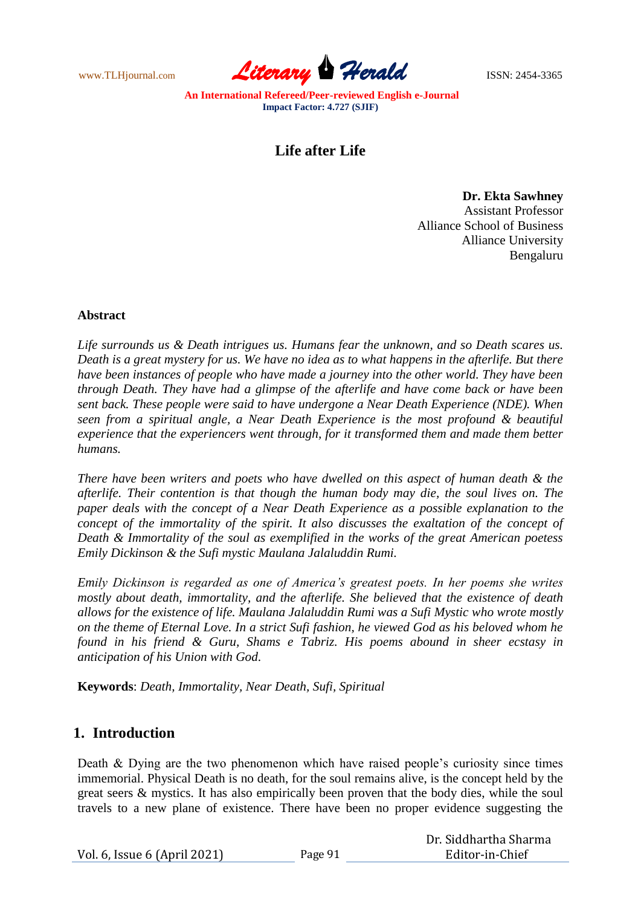www.TLHjournal.com *Literary Herald*ISSN: 2454-3365

# **Life after Life**

**Dr. Ekta Sawhney** Assistant Professor Alliance School of Business Alliance University Bengaluru

Dr. Siddhartha Sharma

#### **Abstract**

*Life surrounds us & Death intrigues us. Humans fear the unknown, and so Death scares us. Death is a great mystery for us. We have no idea as to what happens in the afterlife. But there have been instances of people who have made a journey into the other world. They have been through Death. They have had a glimpse of the afterlife and have come back or have been sent back. These people were said to have undergone a Near Death Experience (NDE). When seen from a spiritual angle, a Near Death Experience is the most profound & beautiful experience that the experiencers went through, for it transformed them and made them better humans.* 

*There have been writers and poets who have dwelled on this aspect of human death & the afterlife. Their contention is that though the human body may die, the soul lives on. The paper deals with the concept of a Near Death Experience as a possible explanation to the concept of the immortality of the spirit. It also discusses the exaltation of the concept of Death & Immortality of the soul as exemplified in the works of the great American poetess Emily Dickinson & the Sufi mystic Maulana Jalaluddin Rumi.* 

*Emily Dickinson is regarded as one of America's greatest poets. In her poems she writes mostly about death, immortality, and the afterlife. She believed that the existence of death allows for the existence of life. Maulana Jalaluddin Rumi was a Sufi Mystic who wrote mostly on the theme of Eternal Love. In a strict Sufi fashion, he viewed God as his beloved whom he found in his friend & Guru, Shams e Tabriz. His poems abound in sheer ecstasy in anticipation of his Union with God.*

**Keywords**: *Death, Immortality, Near Death, Sufi, Spiritual*

#### **1. Introduction**

Death & Dying are the two phenomenon which have raised people"s curiosity since times immemorial. Physical Death is no death, for the soul remains alive, is the concept held by the great seers & mystics. It has also empirically been proven that the body dies, while the soul travels to a new plane of existence. There have been no proper evidence suggesting the

|                              |         | <u>DI RUAQIMI GILA DIIGI III.</u> |
|------------------------------|---------|-----------------------------------|
| Vol. 6, Issue 6 (April 2021) | 'age 91 | Editor-in-Chief                   |
|                              |         |                                   |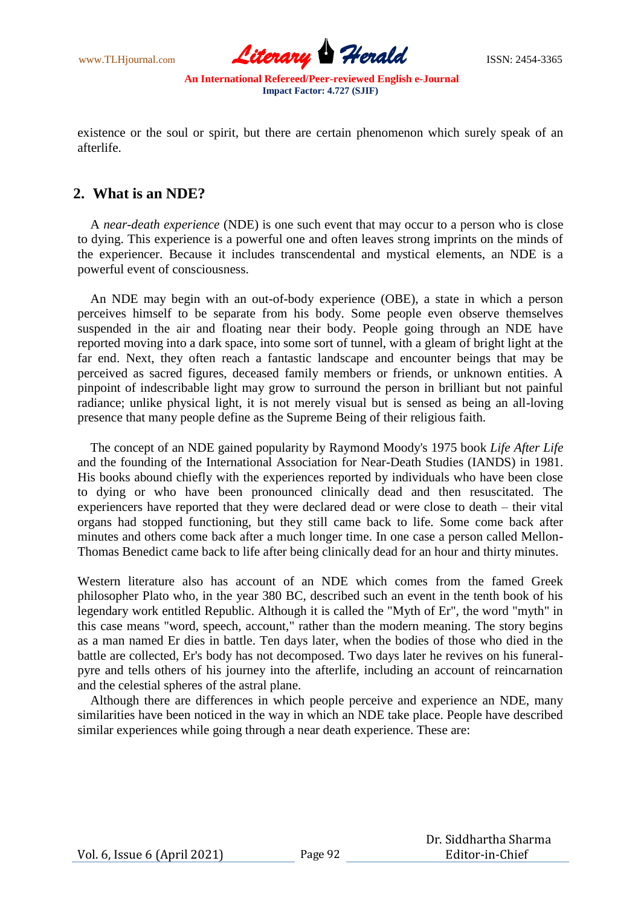www.TLHjournal.com *Literary Herald*ISSN: 2454-3365

existence or the soul or spirit, but there are certain phenomenon which surely speak of an afterlife.

### **2. What is an NDE?**

A *[near-death experience](http://iands.org/about-ndes.html)* (NDE) is one such event that may occur to a person who is close to dying. This experience is a powerful one and often leaves strong imprints on the minds of the experiencer. Because it includes transcendental and mystical elements, an NDE is a powerful event of consciousness.

An NDE may begin with an out-of-body experience (OBE), a state in which a person perceives himself to be separate from his body. Some people even observe themselves suspended in the air and floating near their body. People going through an NDE have reported moving into a dark space, into some sort of tunnel, with a gleam of bright light at the far end. Next, they often reach a fantastic landscape and encounter beings that may be perceived as sacred figures, deceased family members or friends, or unknown entities. A pinpoint of indescribable light may grow to surround the person in brilliant but not painful radiance; unlike physical light, it is not merely visual but is sensed as being an all-loving presence that many people define as the Supreme Being of their religious faith.

The concept of an NDE gained popularity by [Raymond Moody's](http://en.wikipedia.org/wiki/Raymond_Moody) 1975 book *[Life After Life](http://en.wikipedia.org/wiki/Life_After_Life_(book))* and the founding of the [International Association for Near-Death Studies \(IANDS\)](http://en.wikipedia.org/wiki/IANDS) in 1981. His books abound chiefly with the experiences reported by individuals who have been close to dying or who have been pronounced clinically dead and then resuscitated. The experiencers have reported that they were declared dead or were close to death – their vital organs had stopped functioning, but they still came back to life. Some come back after minutes and others come back after a much longer time. In one case a person called Mellon-Thomas Benedict came back to life after being clinically dead for an hour and thirty minutes.

Western literature also has account of an NDE which comes from the famed Greek philosopher Plato who, in the year 380 BC, described such an event in the tenth book of his legendary work entitled [Republic.](http://www.oddee.com/redir.aspx?URL=http%3a%2f%2fwww.amazon.com%2fdp%2f1887250255%2f%3ftag%3doddee-20) Although it is called the "Myth of Er", the word "myth" in this case means "word, speech, account," rather than the modern meaning. The story begins as a man named Er dies in battle. Ten days later, when the bodies of those who died in the battle are collected, Er's body has not decomposed. Two days later he revives on his funeralpyre and tells others of his journey into the afterlife, including an account of reincarnation and the celestial spheres of the astral plane.

Although there are differences in which people perceive and experience an NDE, many similarities have been noticed in the way in which an NDE take place. People have described similar experiences while going through a near death experience. These are: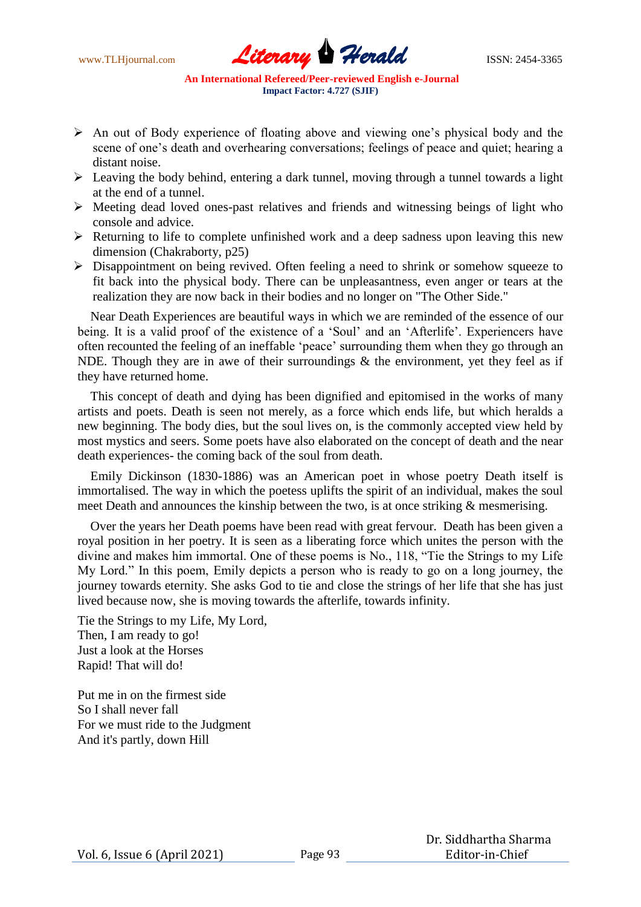

- An out of Body experience of floating above and viewing one"s physical body and the scene of one"s death and overhearing conversations; feelings of peace and quiet; hearing a distant noise.
- $\triangleright$  Leaving the body behind, entering a dark tunnel, moving through a tunnel towards a light at the end of a tunnel.
- $\triangleright$  Meeting dead loved ones-past relatives and friends and witnessing beings of light who console and advice.
- $\triangleright$  Returning to life to complete unfinished work and a deep sadness upon leaving this new dimension (Chakraborty, p25)
- Disappointment on being revived. Often feeling a need to shrink or somehow squeeze to fit back into the physical body. There can be unpleasantness, even anger or tears at the realization they are now back in their bodies and no longer on "The Other Side."

Near Death Experiences are beautiful ways in which we are reminded of the essence of our being. It is a valid proof of the existence of a 'Soul' and an 'Afterlife'. Experiencers have often recounted the feeling of an ineffable "peace" surrounding them when they go through an NDE. Though they are in awe of their surroundings  $\&$  the environment, yet they feel as if they have returned home.

This concept of death and dying has been dignified and epitomised in the works of many artists and poets. Death is seen not merely, as a force which ends life, but which heralds a new beginning. The body dies, but the soul lives on, is the commonly accepted view held by most mystics and seers. Some poets have also elaborated on the concept of death and the near death experiences- the coming back of the soul from death.

Emily Dickinson (1830-1886) was an American poet in whose poetry Death itself is immortalised. The way in which the poetess uplifts the spirit of an individual, makes the soul meet Death and announces the kinship between the two, is at once striking & mesmerising.

Over the years her Death poems have been read with great fervour. Death has been given a royal position in her poetry. It is seen as a liberating force which unites the person with the divine and makes him immortal. One of these poems is No., 118, "Tie the Strings to my Life My Lord." In this poem, Emily depicts a person who is ready to go on a long journey, the journey towards eternity. She asks God to tie and close the strings of her life that she has just lived because now, she is moving towards the afterlife, towards infinity.

Tie the Strings to my Life, My Lord, Then, I am ready to go! Just a look at the Horses Rapid! That will do!

Put me in on the firmest side So I shall never fall For we must ride to the Judgment And it's partly, down Hill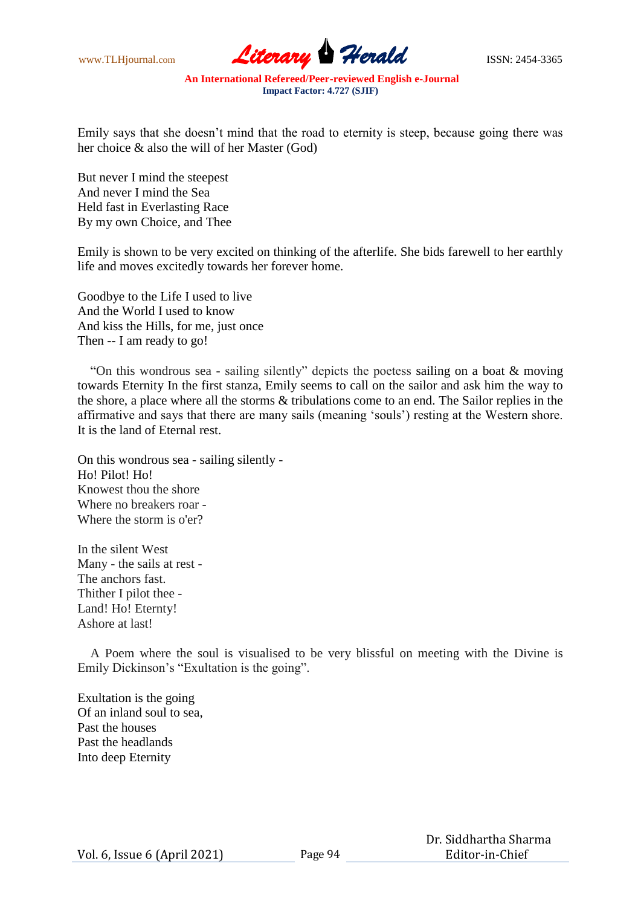www.TLHjournal.com **Literary Herald** ISSN: 2454-3365

Emily says that she doesn"t mind that the road to eternity is steep, because going there was her choice & also the will of her Master (God)

But never I mind the steepest And never I mind the Sea Held fast in Everlasting Race By my own Choice, and Thee

Emily is shown to be very excited on thinking of the afterlife. She bids farewell to her earthly life and moves excitedly towards her forever home.

Goodbye to the Life I used to live And the World I used to know And kiss the Hills, for me, just once Then -- I am ready to go!

"On this wondrous sea - sailing silently" depicts the poetess sailing on a boat & moving towards Eternity In the first stanza, Emily seems to call on the sailor and ask him the way to the shore, a place where all the storms & tribulations come to an end. The Sailor replies in the affirmative and says that there are many sails (meaning "souls") resting at the Western shore. It is the land of Eternal rest.

On this wondrous sea - sailing silently - Ho! Pilot! Ho! Knowest thou the shore Where no breakers roar - Where the storm is o'er?

In the silent West Many - the sails at rest - The anchors fast. Thither I pilot thee - Land! Ho! Eternty! Ashore at last!

A Poem where the soul is visualised to be very blissful on meeting with the Divine is Emily Dickinson"s "Exultation is the going".

Exultation is the going Of an inland soul to sea, Past the houses Past the headlands Into deep Eternity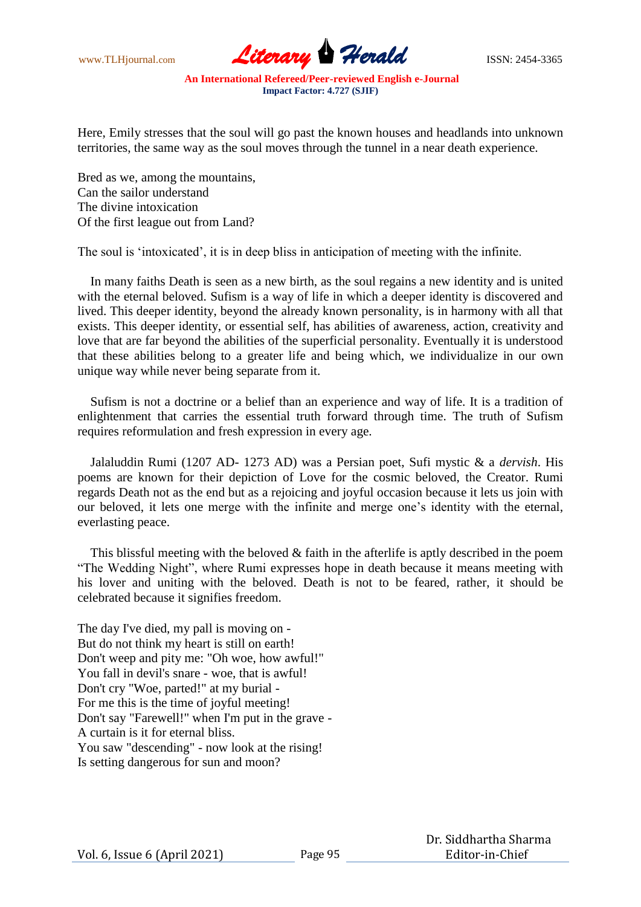www.TLHjournal.com **Literary Herald ISSN: 2454-3365** 

Here, Emily stresses that the soul will go past the known houses and headlands into unknown territories, the same way as the soul moves through the tunnel in a near death experience.

Bred as we, among the mountains, Can the sailor understand The divine intoxication Of the first league out from Land?

The soul is "intoxicated", it is in deep bliss in anticipation of meeting with the infinite.

In many faiths Death is seen as a new birth, as the soul regains a new identity and is united with the eternal beloved. Sufism is a way of life in which a deeper identity is discovered and lived. This deeper identity, beyond the already known personality, is in harmony with all that exists. This deeper identity, or essential self, has abilities of awareness, action, creativity and love that are far beyond the abilities of the superficial personality. Eventually it is understood that these abilities belong to a greater life and being which, we individualize in our own unique way while never being separate from it.

Sufism is not a doctrine or a belief than an experience and way of life. It is a tradition of enlightenment that carries the essential truth forward through time. The truth of Sufism requires reformulation and fresh expression in every age.

Jalaluddin Rumi (1207 AD- 1273 AD) was a Persian poet, Sufi mystic & a *dervish*. His poems are known for their depiction of Love for the cosmic beloved, the Creator. Rumi regards Death not as the end but as a rejoicing and joyful occasion because it lets us join with our beloved, it lets one merge with the infinite and merge one"s identity with the eternal, everlasting peace.

This blissful meeting with the beloved  $&$  faith in the afterlife is aptly described in the poem "The Wedding Night", where Rumi expresses hope in death because it means meeting with his lover and uniting with the beloved. Death is not to be feared, rather, it should be celebrated because it signifies freedom.

The day I've died, my pall is moving on - But do not think my heart is still on earth! Don't weep and pity me: "Oh woe, how awful!" You fall in devil's snare - woe, that is awful! Don't cry "Woe, parted!" at my burial - For me this is the time of joyful meeting! Don't say "Farewell!" when I'm put in the grave - A curtain is it for eternal bliss. You saw "descending" - now look at the rising! Is setting dangerous for sun and moon?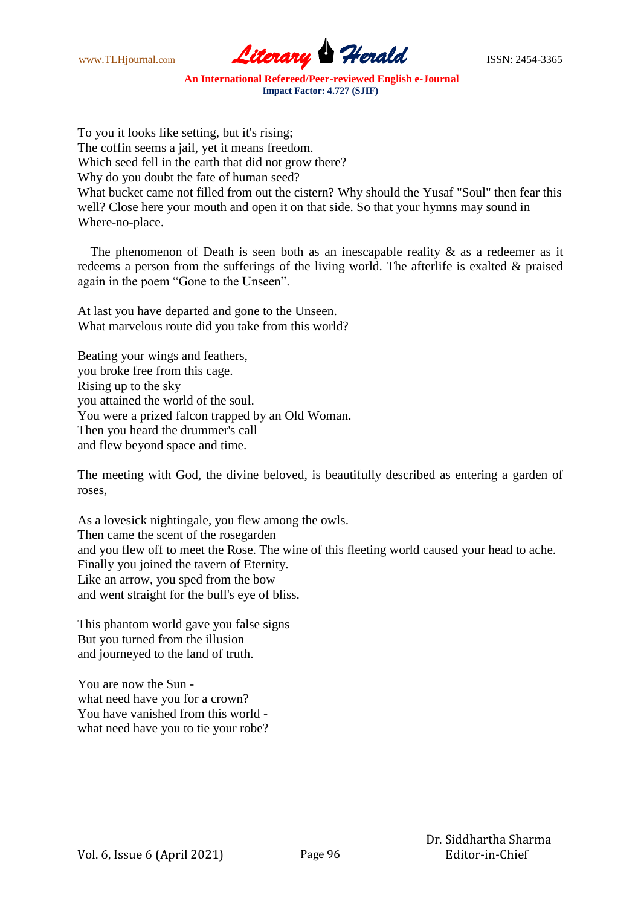

To you it looks like setting, but it's rising; The coffin seems a jail, yet it means freedom. Which seed fell in the earth that did not grow there? Why do you doubt the fate of human seed? What bucket came not filled from out the cistern? Why should the Yusaf "Soul" then fear this well? Close here your mouth and open it on that side. So that your hymns may sound in Where-no-place.

The phenomenon of Death is seen both as an inescapable reality  $\&$  as a redeemer as it redeems a person from the sufferings of the living world. The afterlife is exalted & praised again in the poem "Gone to the Unseen".

At last you have departed and gone to the Unseen. What marvelous route did you take from this world?

Beating your wings and feathers, you broke free from this cage. Rising up to the sky you attained the world of the soul. You were a prized falcon trapped by an Old Woman. Then you heard the drummer's call and flew beyond space and time.

The meeting with God, the divine beloved, is beautifully described as entering a garden of roses,

As a lovesick nightingale, you flew among the owls. Then came the scent of the rosegarden and you flew off to meet the Rose. The wine of this fleeting world caused your head to ache. Finally you joined the tavern of Eternity. Like an arrow, you sped from the bow and went straight for the bull's eye of bliss.

This phantom world gave you false signs But you turned from the illusion and journeyed to the land of truth.

You are now the Sun what need have you for a crown? You have vanished from this world what need have you to tie your robe?